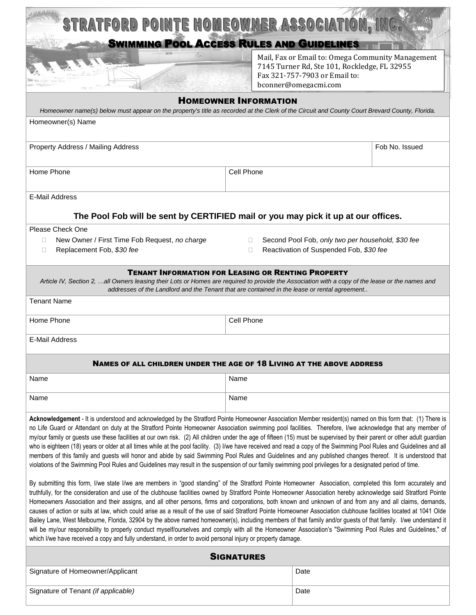| STRATFORD POINTE HOMEOWNER ASSOCIATION, INC.                                                                                                                                                                                                                                                                                                                                                                                                                                                                                                                                                                                                                                                                                                                                                                                                                                                                                                                                                                                                                                                                   |            |                                                                               |                |
|----------------------------------------------------------------------------------------------------------------------------------------------------------------------------------------------------------------------------------------------------------------------------------------------------------------------------------------------------------------------------------------------------------------------------------------------------------------------------------------------------------------------------------------------------------------------------------------------------------------------------------------------------------------------------------------------------------------------------------------------------------------------------------------------------------------------------------------------------------------------------------------------------------------------------------------------------------------------------------------------------------------------------------------------------------------------------------------------------------------|------------|-------------------------------------------------------------------------------|----------------|
| <b>SWIMMING POOL ACCESS RULES AND GUIDELINES</b>                                                                                                                                                                                                                                                                                                                                                                                                                                                                                                                                                                                                                                                                                                                                                                                                                                                                                                                                                                                                                                                               |            |                                                                               |                |
|                                                                                                                                                                                                                                                                                                                                                                                                                                                                                                                                                                                                                                                                                                                                                                                                                                                                                                                                                                                                                                                                                                                |            | Mail, Fax or Email to: Omega Community Management                             |                |
|                                                                                                                                                                                                                                                                                                                                                                                                                                                                                                                                                                                                                                                                                                                                                                                                                                                                                                                                                                                                                                                                                                                |            | 7145 Turner Rd, Ste 101, Rockledge, FL 32955<br>Fax 321-757-7903 or Email to: |                |
|                                                                                                                                                                                                                                                                                                                                                                                                                                                                                                                                                                                                                                                                                                                                                                                                                                                                                                                                                                                                                                                                                                                |            | bconner@omegacmi.com                                                          |                |
| <b>HOMEOWNER INFORMATION</b><br>Homeowner name(s) below must appear on the property's title as recorded at the Clerk of the Circuit and County Court Brevard County, Florida.                                                                                                                                                                                                                                                                                                                                                                                                                                                                                                                                                                                                                                                                                                                                                                                                                                                                                                                                  |            |                                                                               |                |
| Homeowner(s) Name                                                                                                                                                                                                                                                                                                                                                                                                                                                                                                                                                                                                                                                                                                                                                                                                                                                                                                                                                                                                                                                                                              |            |                                                                               |                |
|                                                                                                                                                                                                                                                                                                                                                                                                                                                                                                                                                                                                                                                                                                                                                                                                                                                                                                                                                                                                                                                                                                                |            |                                                                               |                |
| Property Address / Mailing Address                                                                                                                                                                                                                                                                                                                                                                                                                                                                                                                                                                                                                                                                                                                                                                                                                                                                                                                                                                                                                                                                             |            |                                                                               | Fob No. Issued |
| Home Phone                                                                                                                                                                                                                                                                                                                                                                                                                                                                                                                                                                                                                                                                                                                                                                                                                                                                                                                                                                                                                                                                                                     | Cell Phone |                                                                               |                |
| E-Mail Address                                                                                                                                                                                                                                                                                                                                                                                                                                                                                                                                                                                                                                                                                                                                                                                                                                                                                                                                                                                                                                                                                                 |            |                                                                               |                |
| The Pool Fob will be sent by CERTIFIED mail or you may pick it up at our offices.                                                                                                                                                                                                                                                                                                                                                                                                                                                                                                                                                                                                                                                                                                                                                                                                                                                                                                                                                                                                                              |            |                                                                               |                |
| Please Check One                                                                                                                                                                                                                                                                                                                                                                                                                                                                                                                                                                                                                                                                                                                                                                                                                                                                                                                                                                                                                                                                                               |            |                                                                               |                |
| New Owner / First Time Fob Request, no charge<br>Second Pool Fob, only two per household, \$30 fee<br>$\Box$<br>П.                                                                                                                                                                                                                                                                                                                                                                                                                                                                                                                                                                                                                                                                                                                                                                                                                                                                                                                                                                                             |            |                                                                               |                |
| Replacement Fob, \$30 fee<br>Reactivation of Suspended Fob, \$30 fee<br>$\Box$<br>П                                                                                                                                                                                                                                                                                                                                                                                                                                                                                                                                                                                                                                                                                                                                                                                                                                                                                                                                                                                                                            |            |                                                                               |                |
| <b>TENANT INFORMATION FOR LEASING OR RENTING PROPERTY</b>                                                                                                                                                                                                                                                                                                                                                                                                                                                                                                                                                                                                                                                                                                                                                                                                                                                                                                                                                                                                                                                      |            |                                                                               |                |
| Article IV, Section 2, all Owners leasing their Lots or Homes are required to provide the Association with a copy of the lease or the names and<br>addresses of the Landlord and the Tenant that are contained in the lease or rental agreement                                                                                                                                                                                                                                                                                                                                                                                                                                                                                                                                                                                                                                                                                                                                                                                                                                                                |            |                                                                               |                |
| <b>Tenant Name</b>                                                                                                                                                                                                                                                                                                                                                                                                                                                                                                                                                                                                                                                                                                                                                                                                                                                                                                                                                                                                                                                                                             |            |                                                                               |                |
| Cell Phone<br>Home Phone                                                                                                                                                                                                                                                                                                                                                                                                                                                                                                                                                                                                                                                                                                                                                                                                                                                                                                                                                                                                                                                                                       |            |                                                                               |                |
| <b>E-Mail Address</b>                                                                                                                                                                                                                                                                                                                                                                                                                                                                                                                                                                                                                                                                                                                                                                                                                                                                                                                                                                                                                                                                                          |            |                                                                               |                |
| <b>NAMES OF ALL CHILDREN UNDER THE AGE OF 18 LIVING AT THE ABOVE ADDRESS</b>                                                                                                                                                                                                                                                                                                                                                                                                                                                                                                                                                                                                                                                                                                                                                                                                                                                                                                                                                                                                                                   |            |                                                                               |                |
| Name                                                                                                                                                                                                                                                                                                                                                                                                                                                                                                                                                                                                                                                                                                                                                                                                                                                                                                                                                                                                                                                                                                           | Name       |                                                                               |                |
| Name                                                                                                                                                                                                                                                                                                                                                                                                                                                                                                                                                                                                                                                                                                                                                                                                                                                                                                                                                                                                                                                                                                           | Name       |                                                                               |                |
| Acknowledgement - It is understood and acknowledged by the Stratford Pointe Homeowner Association Member resident(s) named on this form that: (1) There is<br>no Life Guard or Attendant on duty at the Stratford Pointe Homeowner Association swimming pool facilities. Therefore, I/we acknowledge that any member of<br>my/our family or guests use these facilities at our own risk. (2) All children under the age of fifteen (15) must be supervised by their parent or other adult guardian<br>who is eighteen (18) years or older at all times while at the pool facility. (3) I/we have received and read a copy of the Swimming Pool Rules and Guidelines and all<br>members of this family and guests will honor and abide by said Swimming Pool Rules and Guidelines and any published changes thereof. It is understood that<br>violations of the Swimming Pool Rules and Guidelines may result in the suspension of our family swimming pool privileges for a designated period of time.                                                                                                         |            |                                                                               |                |
| By submitting this form, I/we state I/we are members in "good standing" of the Stratford Pointe Homeowner Association, completed this form accurately and<br>truthfully, for the consideration and use of the clubhouse facilities owned by Stratford Pointe Homeowner Association hereby acknowledge said Stratford Pointe<br>Homeowners Association and their assigns, and all other persons, firms and corporations, both known and unknown of and from any and all claims, demands,<br>causes of action or suits at law, which could arise as a result of the use of said Stratford Pointe Homeowner Association clubhouse facilities located at 1041 Olde<br>Bailey Lane, West Melbourne, Florida, 32904 by the above named homeowner(s), including members of that family and/or guests of that family. I/we understand it<br>will be my/our responsibility to properly conduct myself/ourselves and comply with all the Homeowner Association's "Swimming Pool Rules and Guidelines," of<br>which I/we have received a copy and fully understand, in order to avoid personal injury or property damage. |            |                                                                               |                |
| <b>SIGNATURES</b>                                                                                                                                                                                                                                                                                                                                                                                                                                                                                                                                                                                                                                                                                                                                                                                                                                                                                                                                                                                                                                                                                              |            |                                                                               |                |
| Signature of Homeowner/Applicant                                                                                                                                                                                                                                                                                                                                                                                                                                                                                                                                                                                                                                                                                                                                                                                                                                                                                                                                                                                                                                                                               |            | Date                                                                          |                |
| Signature of Tenant (if applicable)                                                                                                                                                                                                                                                                                                                                                                                                                                                                                                                                                                                                                                                                                                                                                                                                                                                                                                                                                                                                                                                                            |            | Date                                                                          |                |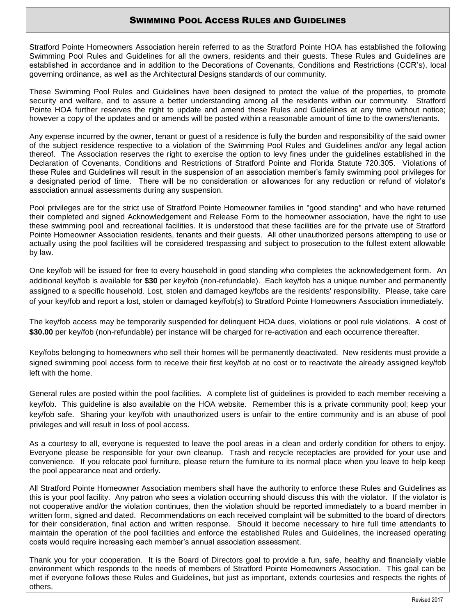## SWIMMING POOL ACCESS RULES AND GUIDELINES

Stratford Pointe Homeowners Association herein referred to as the Stratford Pointe HOA has established the following Swimming Pool Rules and Guidelines for all the owners, residents and their guests. These Rules and Guidelines are established in accordance and in addition to the Decorations of Covenants, Conditions and Restrictions (CCR's), local governing ordinance, as well as the Architectural Designs standards of our community.

These Swimming Pool Rules and Guidelines have been designed to protect the value of the properties, to promote security and welfare, and to assure a better understanding among all the residents within our community. Stratford Pointe HOA further reserves the right to update and amend these Rules and Guidelines at any time without notice; however a copy of the updates and or amends will be posted within a reasonable amount of time to the owners/tenants.

Any expense incurred by the owner, tenant or guest of a residence is fully the burden and responsibility of the said owner of the subject residence respective to a violation of the Swimming Pool Rules and Guidelines and/or any legal action thereof. The Association reserves the right to exercise the option to levy fines under the guidelines established in the Declaration of Covenants, Conditions and Restrictions of Stratford Pointe and Florida Statute 720.305. Violations of these Rules and Guidelines will result in the suspension of an association member's family swimming pool privileges for a designated period of time. There will be no consideration or allowances for any reduction or refund of violator's association annual assessments during any suspension.

Pool privileges are for the strict use of Stratford Pointe Homeowner families in "good standing" and who have returned their completed and signed Acknowledgement and Release Form to the homeowner association, have the right to use these swimming pool and recreational facilities. It is understood that these facilities are for the private use of Stratford Pointe Homeowner Association residents, tenants and their guests. All other unauthorized persons attempting to use or actually using the pool facilities will be considered trespassing and subject to prosecution to the fullest extent allowable by law.

One key/fob will be issued for free to every household in good standing who completes the acknowledgement form. An additional key/fob is available for **\$30** per key/fob (non-refundable). Each key/fob has a unique number and permanently assigned to a specific household. Lost, stolen and damaged key/fobs are the residents' responsibility. Please, take care of your key/fob and report a lost, stolen or damaged key/fob(s) to Stratford Pointe Homeowners Association immediately.

The key/fob access may be temporarily suspended for delinquent HOA dues, violations or pool rule violations. A cost of **\$30.00** per key/fob (non-refundable) per instance will be charged for re-activation and each occurrence thereafter.

Key/fobs belonging to homeowners who sell their homes will be permanently deactivated. New residents must provide a signed swimming pool access form to receive their first key/fob at no cost or to reactivate the already assigned key/fob left with the home.

General rules are posted within the pool facilities. A complete list of guidelines is provided to each member receiving a key/fob. This guideline is also available on the HOA website. Remember this is a private community pool; keep your key/fob safe. Sharing your key/fob with unauthorized users is unfair to the entire community and is an abuse of pool privileges and will result in loss of pool access.

As a courtesy to all, everyone is requested to leave the pool areas in a clean and orderly condition for others to enjoy. Everyone please be responsible for your own cleanup. Trash and recycle receptacles are provided for your use and convenience. If you relocate pool furniture, please return the furniture to its normal place when you leave to help keep the pool appearance neat and orderly.

All Stratford Pointe Homeowner Association members shall have the authority to enforce these Rules and Guidelines as this is your pool facility. Any patron who sees a violation occurring should discuss this with the violator. If the violator is not cooperative and/or the violation continues, then the violation should be reported immediately to a board member in written form, signed and dated. Recommendations on each received complaint will be submitted to the board of directors for their consideration, final action and written response. Should it become necessary to hire full time attendants to maintain the operation of the pool facilities and enforce the established Rules and Guidelines, the increased operating costs would require increasing each member's annual association assessment.

Thank you for your cooperation. It is the Board of Directors goal to provide a fun, safe, healthy and financially viable environment which responds to the needs of members of Stratford Pointe Homeowners Association. This goal can be met if everyone follows these Rules and Guidelines, but just as important, extends courtesies and respects the rights of others.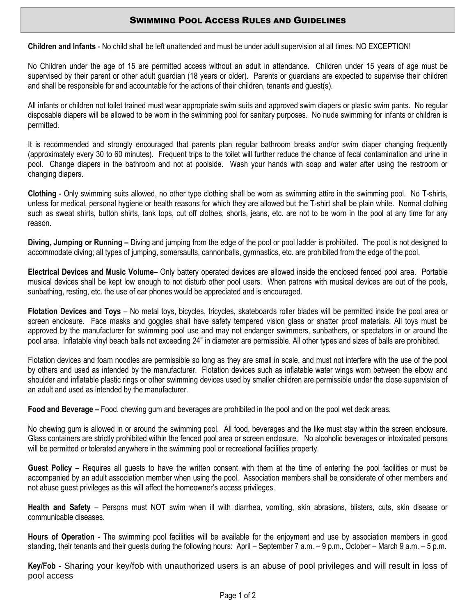## SWIMMING POOL ACCESS RULES AND GUIDELINES

**Children and Infants** - No child shall be left unattended and must be under adult supervision at all times. NO EXCEPTION!

No Children under the age of 15 are permitted access without an adult in attendance. Children under 15 years of age must be supervised by their parent or other adult guardian (18 years or older). Parents or guardians are expected to supervise their children and shall be responsible for and accountable for the actions of their children, tenants and guest(s).

All infants or children not toilet trained must wear appropriate swim suits and approved swim diapers or plastic swim pants. No regular disposable diapers will be allowed to be worn in the swimming pool for sanitary purposes. No nude swimming for infants or children is permitted.

It is recommended and strongly encouraged that parents plan regular bathroom breaks and/or swim diaper changing frequently (approximately every 30 to 60 minutes). Frequent trips to the toilet will further reduce the chance of fecal contamination and urine in pool. Change diapers in the bathroom and not at poolside. Wash your hands with soap and water after using the restroom or changing diapers.

**Clothing** - Only swimming suits allowed, no other type clothing shall be worn as swimming attire in the swimming pool. No T-shirts, unless for medical, personal hygiene or health reasons for which they are allowed but the T-shirt shall be plain white. Normal clothing such as sweat shirts, button shirts, tank tops, cut off clothes, shorts, jeans, etc. are not to be worn in the pool at any time for any reason.

**Diving, Jumping or Running –** Diving and jumping from the edge of the pool or pool ladder is prohibited. The pool is not designed to accommodate diving; all types of jumping, somersaults, cannonballs, gymnastics, etc. are prohibited from the edge of the pool.

**Electrical Devices and Music Volume**– Only battery operated devices are allowed inside the enclosed fenced pool area. Portable musical devices shall be kept low enough to not disturb other pool users. When patrons with musical devices are out of the pools, sunbathing, resting, etc. the use of ear phones would be appreciated and is encouraged.

**Flotation Devices and Toys** – No metal toys, bicycles, tricycles, skateboards roller blades will be permitted inside the pool area or screen enclosure. Face masks and goggles shall have safety tempered vision glass or shatter proof materials. All toys must be approved by the manufacturer for swimming pool use and may not endanger swimmers, sunbathers, or spectators in or around the pool area. Inflatable vinyl beach balls not exceeding 24" in diameter are permissible. All other types and sizes of balls are prohibited.

Flotation devices and foam noodles are permissible so long as they are small in scale, and must not interfere with the use of the pool by others and used as intended by the manufacturer. Flotation devices such as inflatable water wings worn between the elbow and shoulder and inflatable plastic rings or other swimming devices used by smaller children are permissible under the close supervision of an adult and used as intended by the manufacturer.

**Food and Beverage –** Food, chewing gum and beverages are prohibited in the pool and on the pool wet deck areas.

No chewing gum is allowed in or around the swimming pool. All food, beverages and the like must stay within the screen enclosure. Glass containers are strictly prohibited within the fenced pool area or screen enclosure. No alcoholic beverages or intoxicated persons will be permitted or tolerated anywhere in the swimming pool or recreational facilities property.

**Guest Policy** – Requires all guests to have the written consent with them at the time of entering the pool facilities or must be accompanied by an adult association member when using the pool. Association members shall be considerate of other members and not abuse guest privileges as this will affect the homeowner's access privileges.

**Health and Safety** – Persons must NOT swim when ill with diarrhea, vomiting, skin abrasions, blisters, cuts, skin disease or communicable diseases.

**Hours of Operation** - The swimming pool facilities will be available for the enjoyment and use by association members in good standing, their tenants and their guests during the following hours: April – September 7 a.m. – 9 p.m., October – March 9 a.m. – 5 p.m.

**Key/Fob** - Sharing your key/fob with unauthorized users is an abuse of pool privileges and will result in loss of pool access